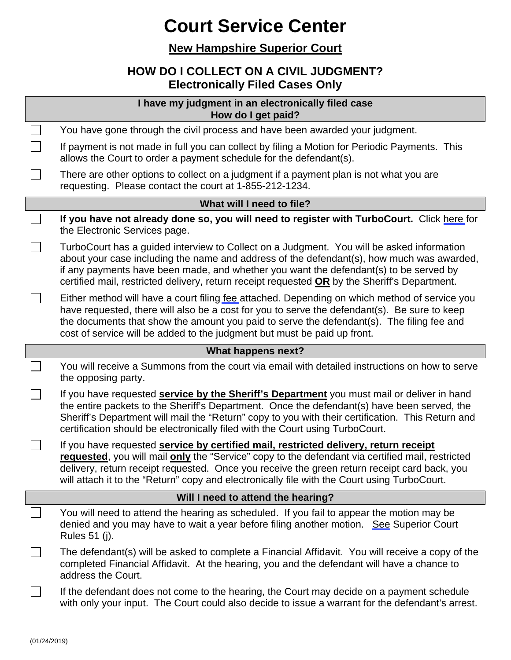## **Court Service Center**

#### **New Hampshire Superior Court**

### **HOW DO I COLLECT ON A CIVIL JUDGMENT? Electronically Filed Cases Only**

| I have my judgment in an electronically filed case<br>How do I get paid? |                                                                                                                                                                                                                                                                                                                                                                                          |  |
|--------------------------------------------------------------------------|------------------------------------------------------------------------------------------------------------------------------------------------------------------------------------------------------------------------------------------------------------------------------------------------------------------------------------------------------------------------------------------|--|
|                                                                          | You have gone through the civil process and have been awarded your judgment.                                                                                                                                                                                                                                                                                                             |  |
|                                                                          | If payment is not made in full you can collect by filing a Motion for Periodic Payments. This<br>allows the Court to order a payment schedule for the defendant(s).                                                                                                                                                                                                                      |  |
|                                                                          | There are other options to collect on a judgment if a payment plan is not what you are<br>requesting. Please contact the court at 1-855-212-1234.                                                                                                                                                                                                                                        |  |
| What will I need to file?                                                |                                                                                                                                                                                                                                                                                                                                                                                          |  |
|                                                                          | If you have not already done so, you will need to register with TurboCourt. Click here for<br>the Electronic Services page.                                                                                                                                                                                                                                                              |  |
|                                                                          | TurboCourt has a guided interview to Collect on a Judgment. You will be asked information<br>about your case including the name and address of the defendant(s), how much was awarded,<br>if any payments have been made, and whether you want the defendant(s) to be served by<br>certified mail, restricted delivery, return receipt requested OR by the Sheriff's Department.         |  |
|                                                                          | Either method will have a court filing fee attached. Depending on which method of service you<br>have requested, there will also be a cost for you to serve the defendant(s). Be sure to keep<br>the documents that show the amount you paid to serve the defendant(s). The filing fee and<br>cost of service will be added to the judgment but must be paid up front.                   |  |
| What happens next?                                                       |                                                                                                                                                                                                                                                                                                                                                                                          |  |
|                                                                          | You will receive a Summons from the court via email with detailed instructions on how to serve<br>the opposing party.                                                                                                                                                                                                                                                                    |  |
|                                                                          | If you have requested service by the Sheriff's Department you must mail or deliver in hand<br>the entire packets to the Sheriff's Department. Once the defendant(s) have been served, the<br>Sheriff's Department will mail the "Return" copy to you with their certification. This Return and<br>certification should be electronically filed with the Court using TurboCourt.          |  |
|                                                                          | If you have requested service by certified mail, restricted delivery, return receipt<br>requested, you will mail only the "Service" copy to the defendant via certified mail, restricted<br>delivery, return receipt requested. Once you receive the green return receipt card back, you<br>will attach it to the "Return" copy and electronically file with the Court using TurboCourt. |  |
| Will I need to attend the hearing?                                       |                                                                                                                                                                                                                                                                                                                                                                                          |  |
|                                                                          | You will need to attend the hearing as scheduled. If you fail to appear the motion may be<br>denied and you may have to wait a year before filing another motion. See Superior Court<br>Rules 51 (j).                                                                                                                                                                                    |  |
|                                                                          | The defendant(s) will be asked to complete a Financial Affidavit. You will receive a copy of the<br>completed Financial Affidavit. At the hearing, you and the defendant will have a chance to<br>address the Court.                                                                                                                                                                     |  |
|                                                                          | If the defendant does not come to the hearing, the Court may decide on a payment schedule<br>with only your input. The Court could also decide to issue a warrant for the defendant's arrest.                                                                                                                                                                                            |  |